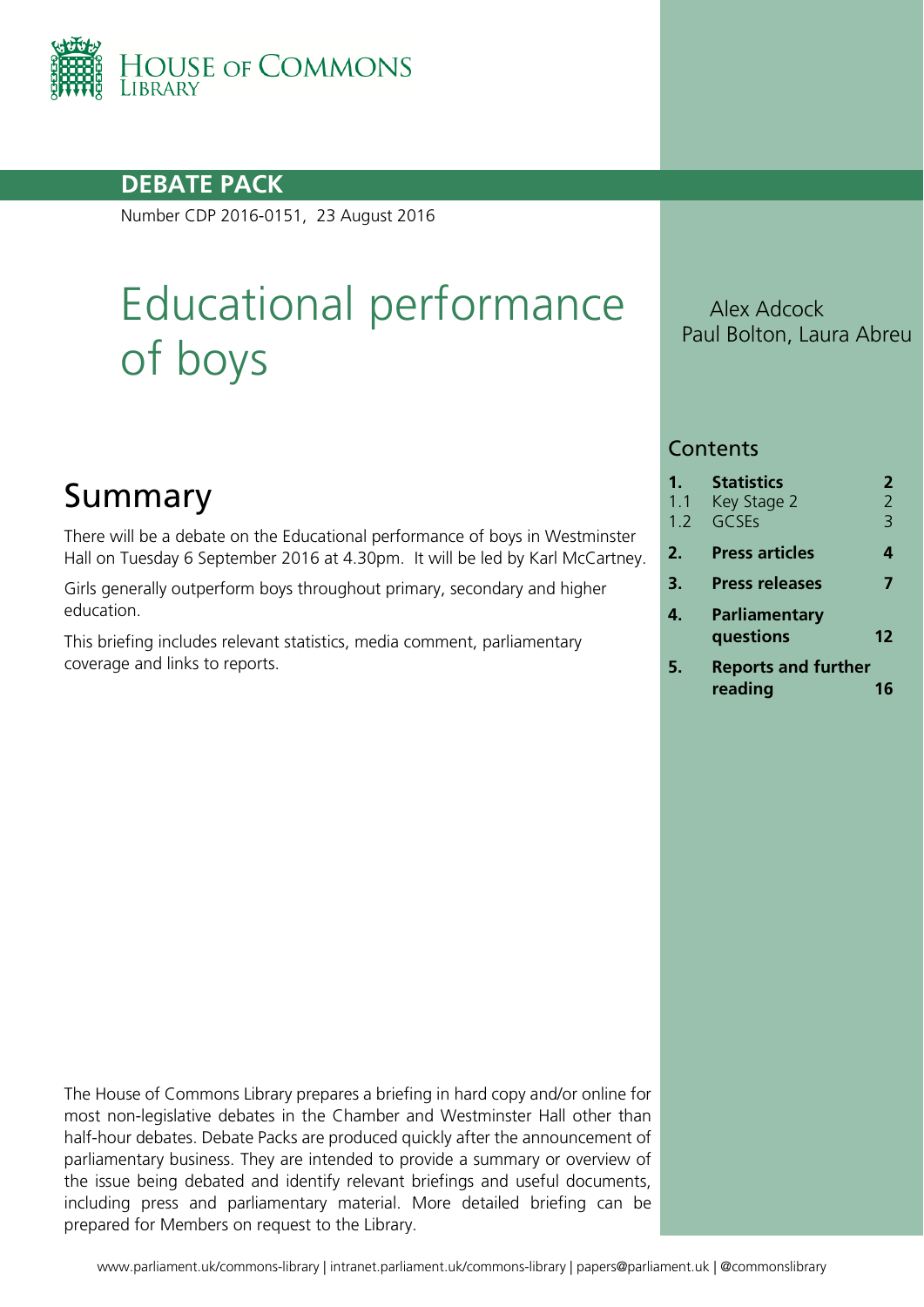

### **DEBATE PACK**

Number CDP 2016-0151, 23 August 2016

# Educational performance of boys

# Summary

There will be a debate on the Educational performance of boys in Westminster Hall on Tuesday 6 September 2016 at 4.30pm. It will be led by Karl McCartney.

Girls generally outperform boys throughout primary, secondary and higher education.

This briefing includes relevant statistics, media comment, parliamentary coverage and links to reports.

Alex Adcock Paul Bolton, Laura Abreu

#### **Contents**

| 1.<br>1.1<br>1.2 | <b>Statistics</b><br>Key Stage 2<br>GCSEs | 2<br>$\overline{2}$<br>3 |
|------------------|-------------------------------------------|--------------------------|
| 2.               | <b>Press articles</b>                     | 4                        |
| 3.               | <b>Press releases</b>                     | 7                        |
| 4.               | Parliamentary<br>questions                | 12                       |
| 5.               | <b>Reports and further</b><br>reading     |                          |

The House of Commons Library prepares a briefing in hard copy and/or online for most non-legislative debates in the Chamber and Westminster Hall other than half-hour debates. Debate Packs are produced quickly after the announcement of parliamentary business. They are intended to provide a summary or overview of the issue being debated and identify relevant briefings and useful documents, including press and parliamentary material. More detailed briefing can be prepared for Members on request to the Library.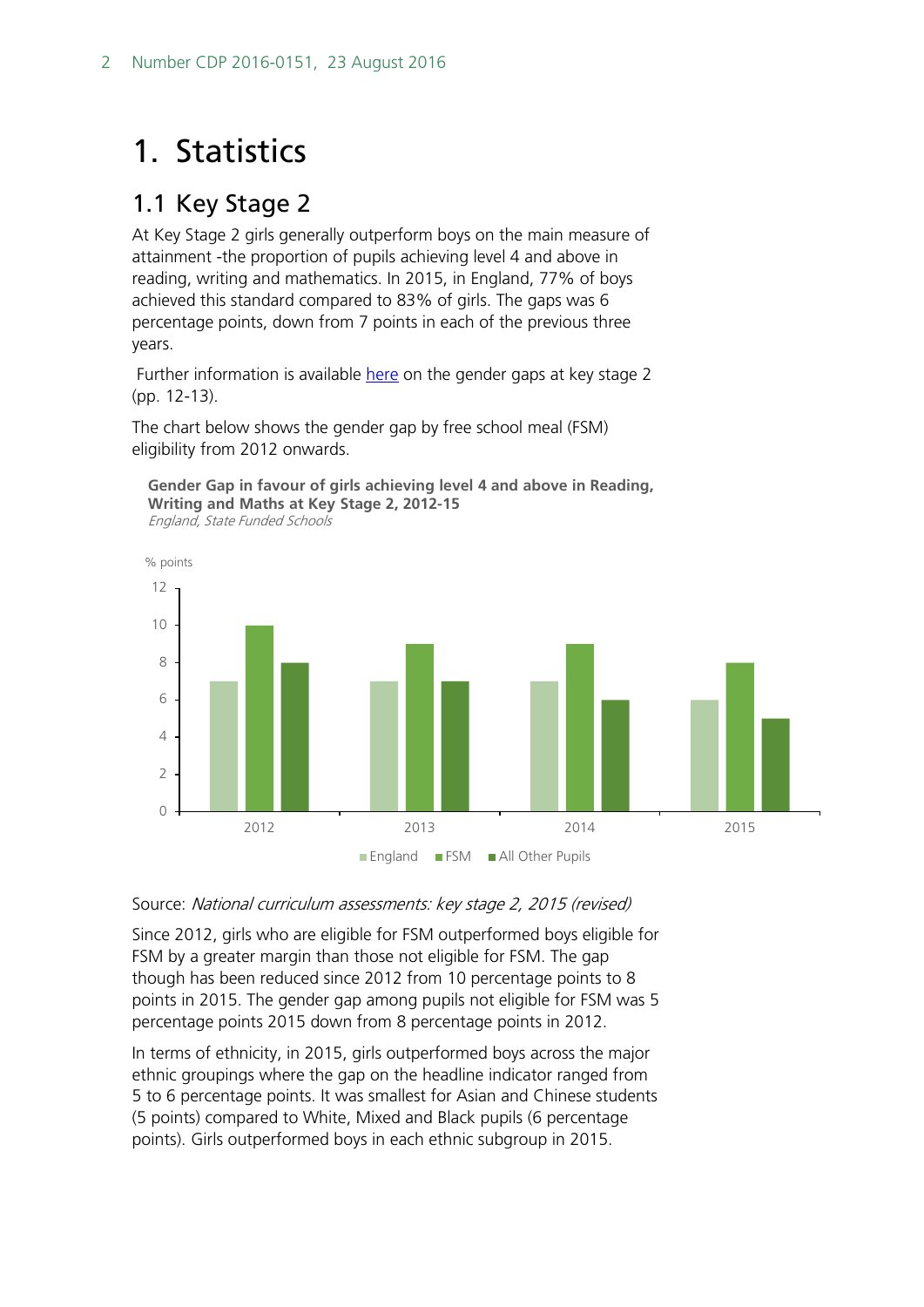# <span id="page-1-0"></span>1. Statistics

### <span id="page-1-1"></span>1.1 Key Stage 2

At Key Stage 2 girls generally outperform boys on the main measure of attainment -the proportion of pupils achieving level 4 and above in reading, writing and mathematics. In 2015, in England, 77% of boys achieved this standard compared to 83% of girls. The gaps was 6 percentage points, down from 7 points in each of the previous three years.

Further information is available [here](https://www.gov.uk/government/uploads/system/uploads/attachment_data/file/483897/SFR47_2015_text.pdf) on the gender gaps at key stage 2 (pp. 12-13).

The chart below shows the gender gap by free school meal (FSM) eligibility from 2012 onwards.



**Gender Gap in favour of girls achieving level 4 and above in Reading, Writing and Maths at Key Stage 2, 2012-15** England, State Funded Schools

#### Source: National curriculum assessments: key stage 2, 2015 (revised)

Since 2012, girls who are eligible for FSM outperformed boys eligible for FSM by a greater margin than those not eligible for FSM. The gap though has been reduced since 2012 from 10 percentage points to 8 points in 2015. The gender gap among pupils not eligible for FSM was 5 percentage points 2015 down from 8 percentage points in 2012.

In terms of ethnicity, in 2015, girls outperformed boys across the major ethnic groupings where the gap on the headline indicator ranged from 5 to 6 percentage points. It was smallest for Asian and Chinese students (5 points) compared to White, Mixed and Black pupils (6 percentage points). Girls outperformed boys in each ethnic subgroup in 2015.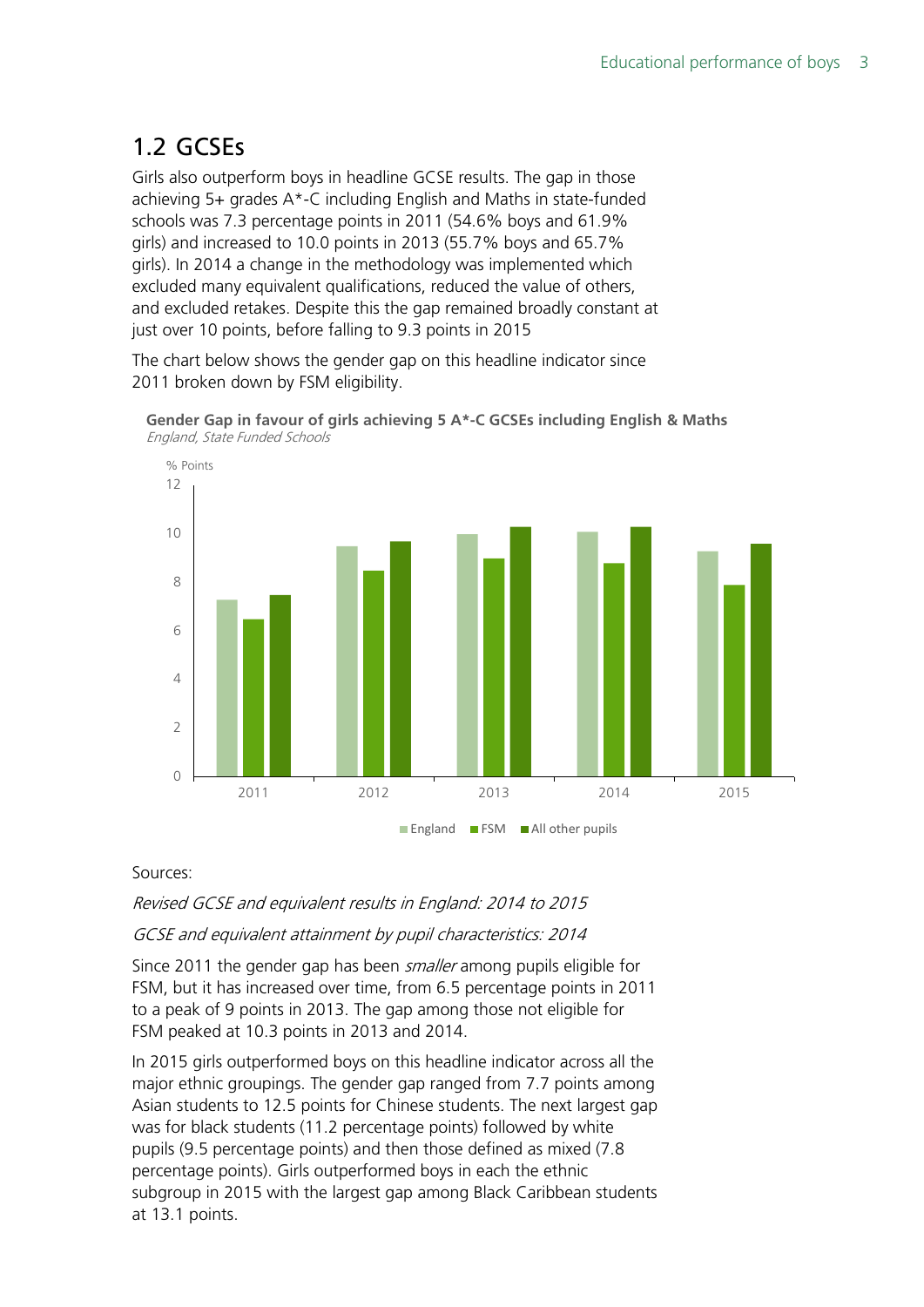## <span id="page-2-0"></span>1.2 GCSEs

Girls also outperform boys in headline GCSE results. The gap in those achieving 5+ grades A\*-C including English and Maths in state-funded schools was 7.3 percentage points in 2011 (54.6% boys and 61.9% girls) and increased to 10.0 points in 2013 (55.7% boys and 65.7% girls). In 2014 a change in the methodology was implemented which excluded many equivalent qualifications, reduced the value of others, and excluded retakes. Despite this the gap remained broadly constant at just over 10 points, before falling to 9.3 points in 2015

The chart below shows the gender gap on this headline indicator since 2011 broken down by FSM eligibility.





#### Sources:

Revised GCSE and equivalent results in England: 2014 to 2015

#### GCSE and equivalent attainment by pupil characteristics: 2014

Since 2011 the gender gap has been *smaller* among pupils eligible for FSM, but it has increased over time, from 6.5 percentage points in 2011 to a peak of 9 points in 2013. The gap among those not eligible for FSM peaked at 10.3 points in 2013 and 2014.

In 2015 girls outperformed boys on this headline indicator across all the major ethnic groupings. The gender gap ranged from 7.7 points among Asian students to 12.5 points for Chinese students. The next largest gap was for black students (11.2 percentage points) followed by white pupils (9.5 percentage points) and then those defined as mixed (7.8 percentage points). Girls outperformed boys in each the ethnic subgroup in 2015 with the largest gap among Black Caribbean students at 13.1 points.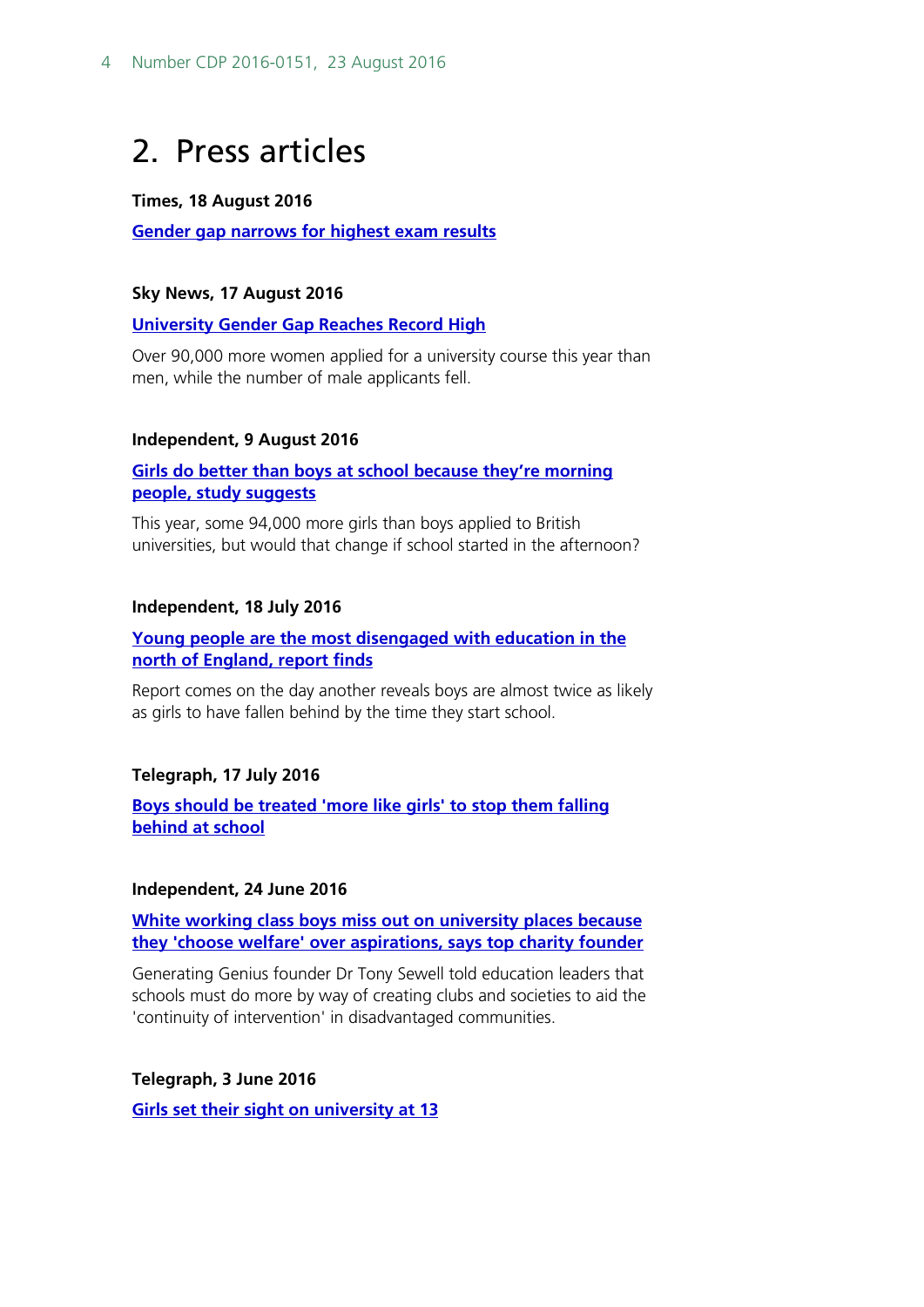# <span id="page-3-0"></span>2. Press articles

#### **Times, 18 August 2016**

**[Gender gap narrows for highest exam results](http://www.thetimes.co.uk/edition/news/analysis-gender-gap-for-top-a-level-grades-narrows-38hlkkntc)**

#### **Sky News, 17 August 2016**

**[University Gender Gap Reaches Record High](http://news.sky.com/story/record-high-university-gender-gap-needs-addressing-10541018)**

Over 90,000 more women applied for a university course this year than men, while the number of male applicants fell.

#### **Independent, 9 August 2016**

**[Girls do better than boys at school because they're morning](http://www.independent.co.uk/news/education/girls-do-better-than-boys-at-school-because-they-re-morning-people-study-suggests-a7181511.html)  [people, study suggests](http://www.independent.co.uk/news/education/girls-do-better-than-boys-at-school-because-they-re-morning-people-study-suggests-a7181511.html)**

This year, some 94,000 more girls than boys applied to British universities, but would that change if school started in the afternoon?

#### **Independent, 18 July 2016**

#### **[Young people are the most disengaged with education in the](http://www.independent.co.uk/student/student-life/Studies/young-people-are-the-most-disengaged-with-education-in-the-north-of-england-report-finds-a7142766.html)  [north of England, report finds](http://www.independent.co.uk/student/student-life/Studies/young-people-are-the-most-disengaged-with-education-in-the-north-of-england-report-finds-a7142766.html)**

Report comes on the day another reveals boys are almost twice as likely as girls to have fallen behind by the time they start school.

#### **Telegraph, 17 July 2016**

**[Boys should be treated 'more like girls' to stop them falling](http://www.telegraph.co.uk/education/2016/07/17/boys-should-be-treated-more-like-girls-to-stop-them-falling-behi/)  [behind at school](http://www.telegraph.co.uk/education/2016/07/17/boys-should-be-treated-more-like-girls-to-stop-them-falling-behi/)**

#### **Independent, 24 June 2016**

**[White working class boys miss out on university places because](http://www.independent.co.uk/news/education/education-news/white-working-class-boys-miss-out-on-university-places-because-they-choose-welfare-over-aspirations-a7101646.html)  [they 'choose welfare' over aspirations, says top charity founder](http://www.independent.co.uk/news/education/education-news/white-working-class-boys-miss-out-on-university-places-because-they-choose-welfare-over-aspirations-a7101646.html)**

Generating Genius founder Dr Tony Sewell told education leaders that schools must do more by way of creating clubs and societies to aid the 'continuity of intervention' in disadvantaged communities.

**Telegraph, 3 June 2016**

**[Girls set their sight on university at 13](http://www.telegraph.co.uk/education/2016/06/03/girls-set-their-sight-on-university-at-age-13/)**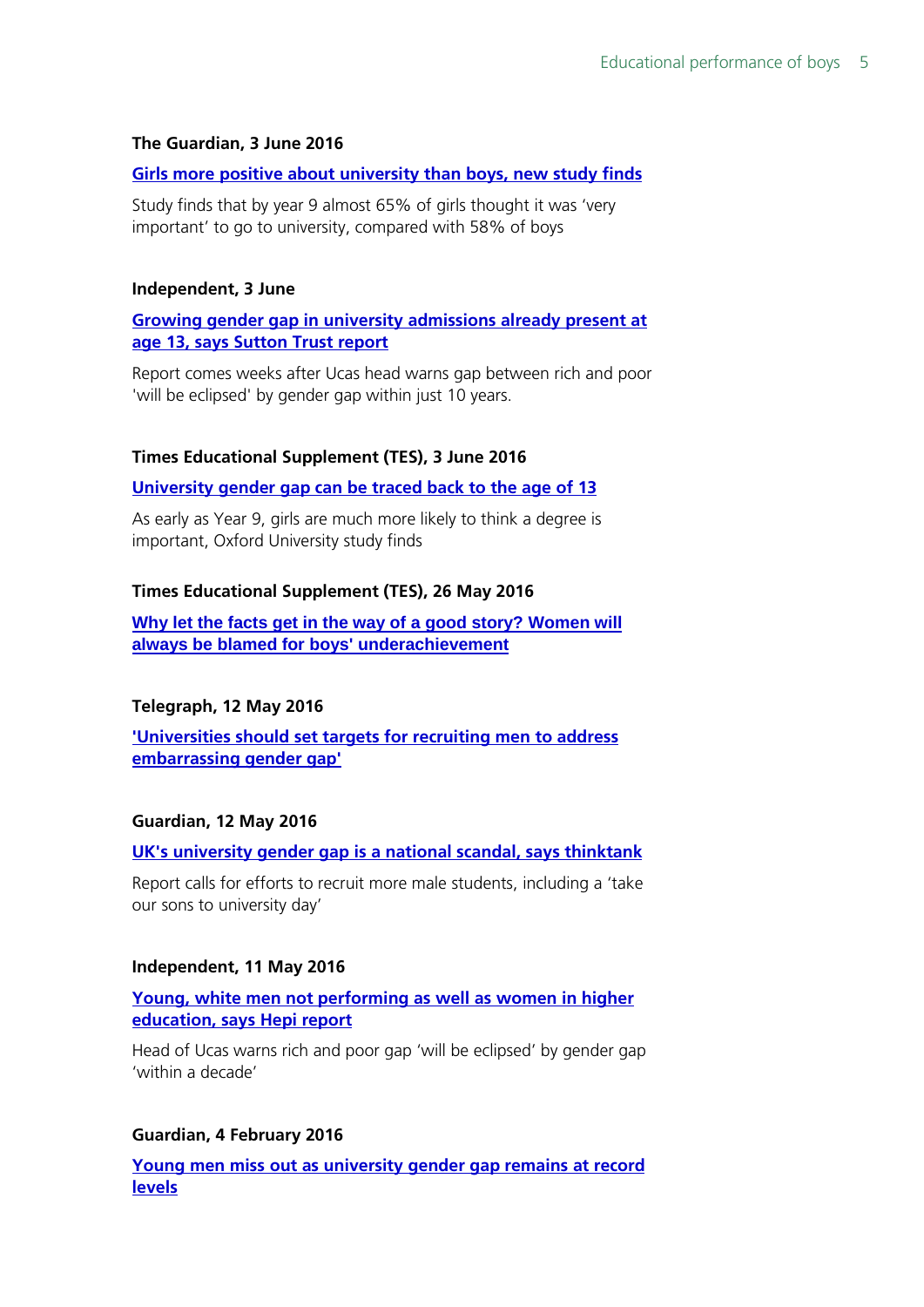#### **The Guardian, 3 June 2016**

#### **[Girls more positive about university than boys, new study finds](https://www.theguardian.com/education/2016/jun/03/girls-more-positive-about-university-than-boys-study-sutton-trust-oxford)**

Study finds that by year 9 almost 65% of girls thought it was 'very important' to go to university, compared with 58% of boys

#### **Independent, 3 June**

**[Growing gender gap in university admissions already present at](http://www.independent.co.uk/student/into-university/applying/growing-gender-gap-in-university-admissions-already-present-at-age-13-says-sutton-trust-report-a7061066.html)  [age 13, says Sutton Trust report](http://www.independent.co.uk/student/into-university/applying/growing-gender-gap-in-university-admissions-already-present-at-age-13-says-sutton-trust-report-a7061066.html)**

Report comes weeks after Ucas head warns gap between rich and poor 'will be eclipsed' by gender gap within just 10 years.

#### **Times Educational Supplement (TES), 3 June 2016**

#### **[University gender gap can be traced back to the age of 13](https://www.tes.com/news/school-news/breaking-news/university-gender-gap-can-be-traced-back-age-13)**

As early as Year 9, girls are much more likely to think a degree is important, Oxford University study finds

#### **Times Educational Supplement (TES), 26 May 2016**

**[Why let the facts get in the way of a good story? Women will](https://www.tes.com/news/school-news/breaking-views/why-let-facts-get-way-a-good-story-women-will-always-be-blamed-boys)  [always be blamed for boys' underachievement](https://www.tes.com/news/school-news/breaking-views/why-let-facts-get-way-a-good-story-women-will-always-be-blamed-boys)**

#### **Telegraph, 12 May 2016**

**['Universities should set targets for recruiting men to address](http://www.telegraph.co.uk/education/2016/05/11/universities-should-set-targets-for-recruiting-men-to-address-em/)  [embarrassing gender gap'](http://www.telegraph.co.uk/education/2016/05/11/universities-should-set-targets-for-recruiting-men-to-address-em/)**

#### **Guardian, 12 May 2016**

#### **[UK's university gender gap is a national scandal, says thinktank](https://www.theguardian.com/education/2016/may/12/university-gender-gap-scandal-thinktank-men)**

Report calls for efforts to recruit more male students, including a 'take our sons to university day'

#### **Independent, 11 May 2016**

#### **[Young, white men not performing as well as women in higher](http://www.independent.co.uk/student/into-university/young-white-men-not-performing-as-well-as-women-in-higher-education-says-hepi-report-a7024241.html)  [education, says Hepi report](http://www.independent.co.uk/student/into-university/young-white-men-not-performing-as-well-as-women-in-higher-education-says-hepi-report-a7024241.html)**

Head of Ucas warns rich and poor gap 'will be eclipsed' by gender gap 'within a decade'

#### **Guardian, 4 February 2016**

**[Young men miss out as university gender gap remains at record](https://www.theguardian.com/education/2016/feb/04/young-men-miss-out-as-university-gender-gap-remains-at-record-levels)  [levels](https://www.theguardian.com/education/2016/feb/04/young-men-miss-out-as-university-gender-gap-remains-at-record-levels)**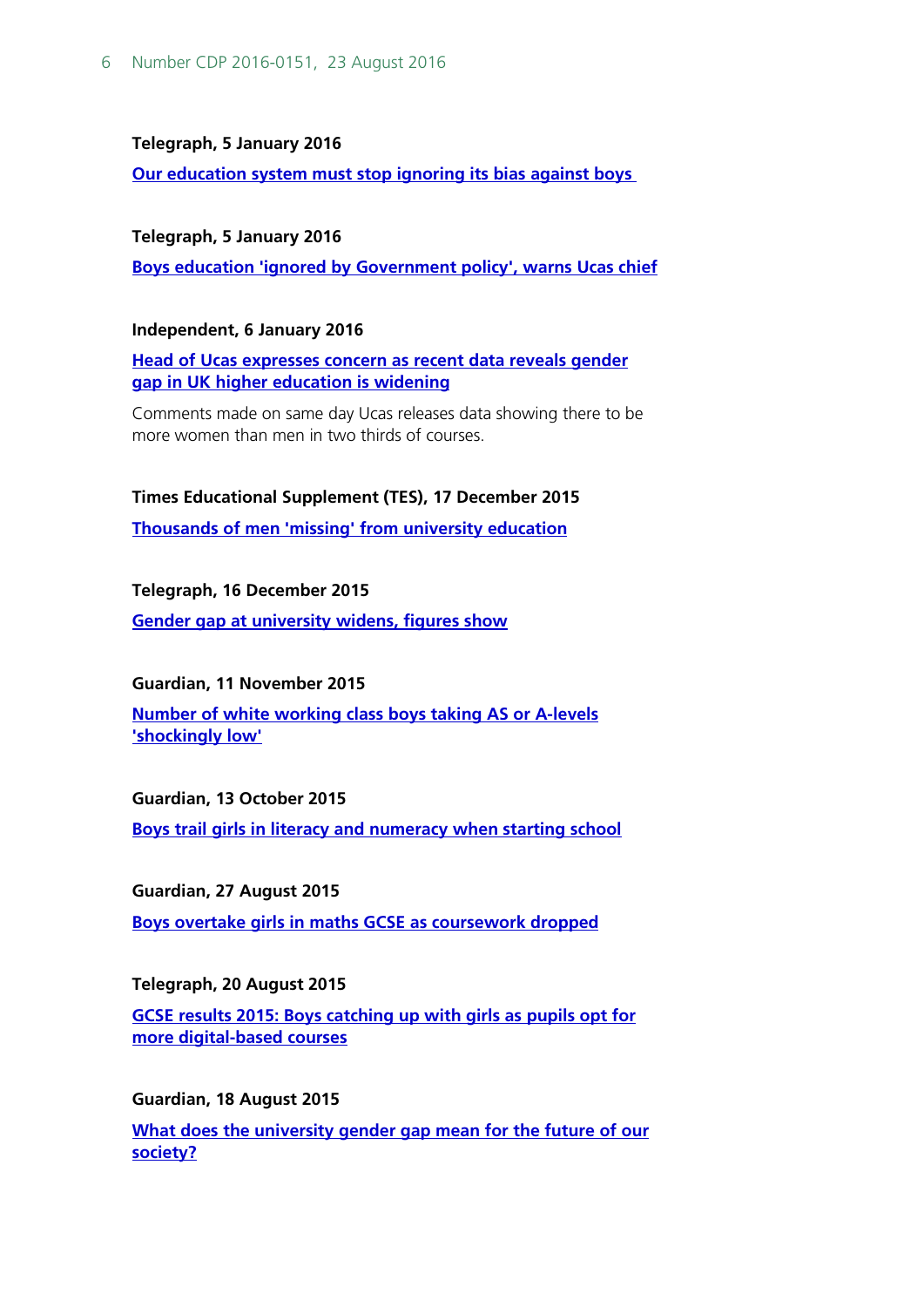#### **Telegraph, 5 January 2016**

**[Our education system must stop ignoring its bias against boys](http://www.telegraph.co.uk/men/thinking-man/our-education-system-must-stop-ignoring-its-bias-against-boys/)**

#### **Telegraph, 5 January 2016**

**[Boys education 'ignored by Government policy', warns Ucas chief](http://www.telegraph.co.uk/education/educationnews/12082103/Boys-education-ignored-by-policy-warns-Ucas-chief.html)**

#### **Independent, 6 January 2016**

**[Head of Ucas expresses concern as recent data reveals gender](http://www.independent.co.uk/student/news/head-of-ucas-expresses-concern-as-recent-data-reveals-gender-gap-in-uk-higher-education-is-widening-a6799081.html)  [gap in UK higher education is widening](http://www.independent.co.uk/student/news/head-of-ucas-expresses-concern-as-recent-data-reveals-gender-gap-in-uk-higher-education-is-widening-a6799081.html)**

Comments made on same day Ucas releases data showing there to be more women than men in two thirds of courses.

#### **Times Educational Supplement (TES), 17 December 2015**

**[Thousands of men 'missing' from university education](https://www.tes.com/news/school-news/breaking-news/thousands-men-missing-university-education)**

#### **Telegraph, 16 December 2015**

**[Gender gap at university widens, figures show](http://www.telegraph.co.uk/education/educationnews/12054756/Gender-gap-at-university-widens-figures-show.html)**

#### **Guardian, 11 November 2015**

**[Number of white working class boys taking AS or A-levels](https://www.theguardian.com/education/2015/nov/11/white-boys-from-poor-areas-least-likely-to-take-as-or-a-levels-says-study)  ['shockingly low'](https://www.theguardian.com/education/2015/nov/11/white-boys-from-poor-areas-least-likely-to-take-as-or-a-levels-says-study)**

#### **Guardian, 13 October 2015**

**[Boys trail girls in literacy and numeracy when starting school](https://www.theguardian.com/education/2015/oct/13/boys-trail-girls-literacy-numeracy-when-starting-school)**

#### **Guardian, 27 August 2015**

**[Boys overtake girls in maths GCSE as coursework dropped](https://www.theguardian.com/education/2009/aug/27/maths-gcse-coursework-dropped)** 

#### **Telegraph, 20 August 2015**

**[GCSE results 2015: Boys catching up with girls as pupils opt for](http://www.telegraph.co.uk/education/secondaryeducation/11813571/GCSE-results-2015-Boys-catching-up-with-girls-as-pupils-opt-for-more-digital-based-courses.html)  [more digital-based courses](http://www.telegraph.co.uk/education/secondaryeducation/11813571/GCSE-results-2015-Boys-catching-up-with-girls-as-pupils-opt-for-more-digital-based-courses.html)**

#### **Guardian, 18 August 2015**

**[What does the university gender gap mean for the future of our](https://www.theguardian.com/commentisfree/2015/aug/18/gender-gap-women-men-university-tuition-fees)  [society?](https://www.theguardian.com/commentisfree/2015/aug/18/gender-gap-women-men-university-tuition-fees)**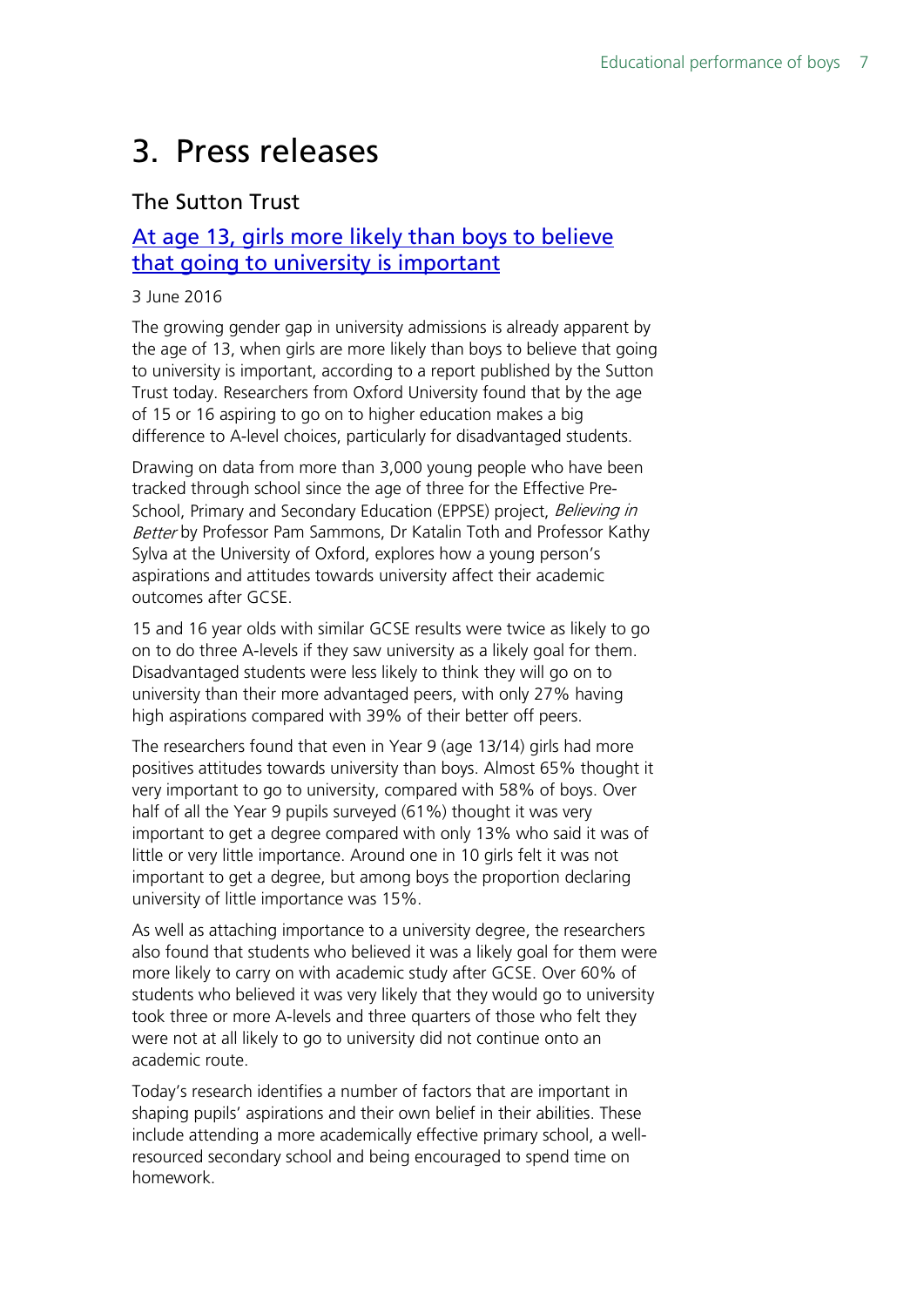# <span id="page-6-0"></span>3. Press releases

### The Sutton Trust

### [At age 13, girls more likely than boys to believe](http://www.suttontrust.com/newsarchive/at-age-13-girls-more-likely-than-boys-to-believe-that-going-to-university-is-important/)  [that going to university is important](http://www.suttontrust.com/newsarchive/at-age-13-girls-more-likely-than-boys-to-believe-that-going-to-university-is-important/)

#### 3 June 2016

The growing gender gap in university admissions is already apparent by the age of 13, when girls are more likely than boys to believe that going to university is important, according to a report published by the Sutton Trust today. Researchers from Oxford University found that by the age of 15 or 16 aspiring to go on to higher education makes a big difference to A-level choices, particularly for disadvantaged students.

Drawing on data from more than 3,000 young people who have been tracked through school since the age of three for the Effective Pre-School, Primary and Secondary Education (EPPSE) project, Believing in Better by Professor Pam Sammons, Dr Katalin Toth and Professor Kathy Sylva at the University of Oxford, explores how a young person's aspirations and attitudes towards university affect their academic outcomes after GCSE.

15 and 16 year olds with similar GCSE results were twice as likely to go on to do three A-levels if they saw university as a likely goal for them. Disadvantaged students were less likely to think they will go on to university than their more advantaged peers, with only 27% having high aspirations compared with 39% of their better off peers.

The researchers found that even in Year 9 (age 13/14) girls had more positives attitudes towards university than boys. Almost 65% thought it very important to go to university, compared with 58% of boys. Over half of all the Year 9 pupils surveyed (61%) thought it was very important to get a degree compared with only 13% who said it was of little or very little importance. Around one in 10 girls felt it was not important to get a degree, but among boys the proportion declaring university of little importance was 15%.

As well as attaching importance to a university degree, the researchers also found that students who believed it was a likely goal for them were more likely to carry on with academic study after GCSE. Over 60% of students who believed it was very likely that they would go to university took three or more A-levels and three quarters of those who felt they were not at all likely to go to university did not continue onto an academic route.

Today's research identifies a number of factors that are important in shaping pupils' aspirations and their own belief in their abilities. These include attending a more academically effective primary school, a wellresourced secondary school and being encouraged to spend time on homework.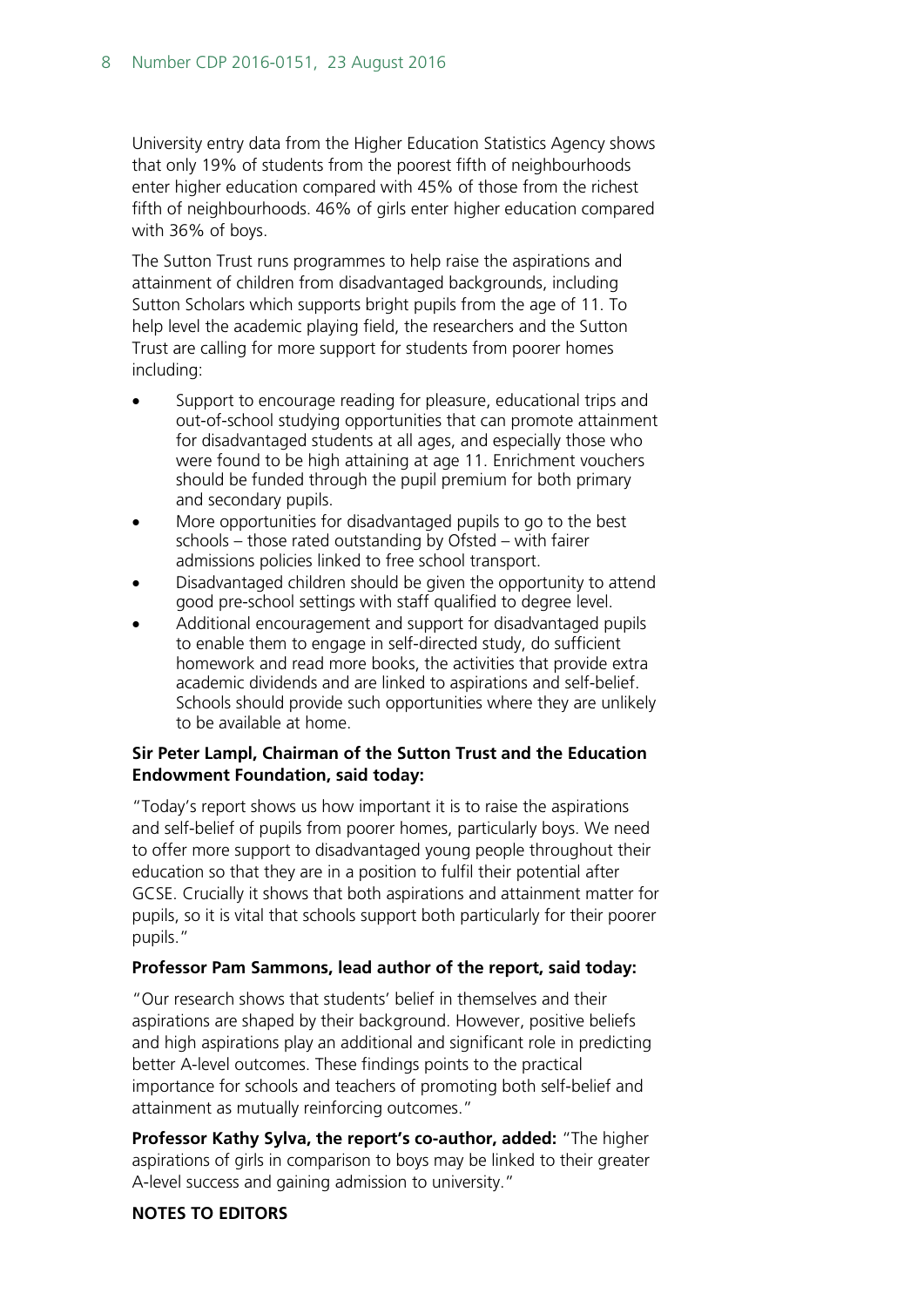University entry data from the Higher Education Statistics Agency shows that only 19% of students from the poorest fifth of neighbourhoods enter higher education compared with 45% of those from the richest fifth of neighbourhoods. 46% of girls enter higher education compared with 36% of boys.

The Sutton Trust runs programmes to help raise the aspirations and attainment of children from disadvantaged backgrounds, including Sutton Scholars which supports bright pupils from the age of 11. To help level the academic playing field, the researchers and the Sutton Trust are calling for more support for students from poorer homes including:

- Support to encourage reading for pleasure, educational trips and out-of-school studying opportunities that can promote attainment for disadvantaged students at all ages, and especially those who were found to be high attaining at age 11. Enrichment vouchers should be funded through the pupil premium for both primary and secondary pupils.
- More opportunities for disadvantaged pupils to go to the best schools – those rated outstanding by Ofsted – with fairer admissions policies linked to free school transport.
- Disadvantaged children should be given the opportunity to attend good pre-school settings with staff qualified to degree level.
- Additional encouragement and support for disadvantaged pupils to enable them to engage in self-directed study, do sufficient homework and read more books, the activities that provide extra academic dividends and are linked to aspirations and self-belief. Schools should provide such opportunities where they are unlikely to be available at home.

#### **Sir Peter Lampl, Chairman of the Sutton Trust and the Education Endowment Foundation, said today:**

"Today's report shows us how important it is to raise the aspirations and self-belief of pupils from poorer homes, particularly boys. We need to offer more support to disadvantaged young people throughout their education so that they are in a position to fulfil their potential after GCSE. Crucially it shows that both aspirations and attainment matter for pupils, so it is vital that schools support both particularly for their poorer pupils."

#### **Professor Pam Sammons, lead author of the report, said today:**

"Our research shows that students' belief in themselves and their aspirations are shaped by their background. However, positive beliefs and high aspirations play an additional and significant role in predicting better A-level outcomes. These findings points to the practical importance for schools and teachers of promoting both self-belief and attainment as mutually reinforcing outcomes."

**Professor Kathy Sylva, the report's co-author, added:** "The higher aspirations of girls in comparison to boys may be linked to their greater A-level success and gaining admission to university."

#### **NOTES TO EDITORS**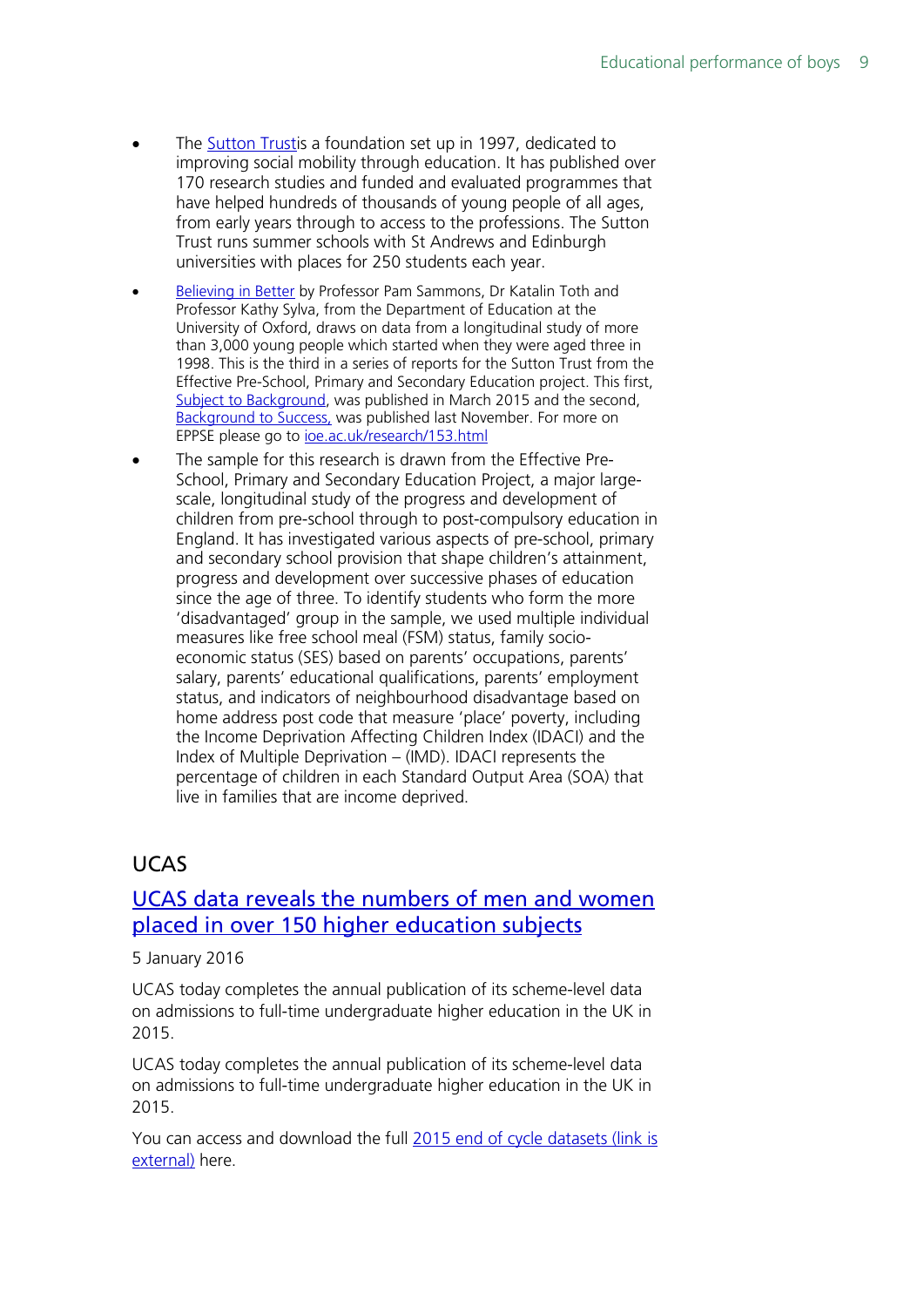- The [Sutton Trusti](http://www.suttontrust.com/home/)s a foundation set up in 1997, dedicated to improving social mobility through education. It has published over 170 research studies and funded and evaluated programmes that have helped hundreds of thousands of young people of all ages, from early years through to access to the professions. The Sutton Trust runs summer schools with St Andrews and Edinburgh universities with places for 250 students each year.
- [Believing in Better](http://www.suttontrust.com/researcharchive/believing-in-better/) by Professor Pam Sammons, Dr Katalin Toth and Professor Kathy Sylva, from the Department of Education at the University of Oxford, draws on data from a longitudinal study of more than 3,000 young people which started when they were aged three in 1998. This is the third in a series of reports for the Sutton Trust from the Effective Pre-School, Primary and Secondary Education project. This first, [Subject to Background,](http://www.suttontrust.com/researcharchive/subject-to-background/) was published in March 2015 and the second, [Background to Success,](http://www.suttontrust.com/researcharchive/background-to-success/) was published last November. For more on EPPSE please go to [ioe.ac.uk/research/153.html](http://www.ioe.ac.uk/research/153.html)
- The sample for this research is drawn from the Effective Pre-School, Primary and Secondary Education Project, a major largescale, longitudinal study of the progress and development of children from pre-school through to post-compulsory education in England. It has investigated various aspects of pre-school, primary and secondary school provision that shape children's attainment, progress and development over successive phases of education since the age of three. To identify students who form the more 'disadvantaged' group in the sample, we used multiple individual measures like free school meal (FSM) status, family socioeconomic status (SES) based on parents' occupations, parents' salary, parents' educational qualifications, parents' employment status, and indicators of neighbourhood disadvantage based on home address post code that measure 'place' poverty, including the Income Deprivation Affecting Children Index (IDACI) and the Index of Multiple Deprivation – (IMD). IDACI represents the percentage of children in each Standard Output Area (SOA) that live in families that are income deprived.

### UCAS

### [UCAS data reveals the numbers of men and women](https://www.ucas.com/corporate/news-and-key-documents/news/ucas-data-reveals-numbers-men-and-women-placed-over-150-higher)  [placed in over 150 higher education subjects](https://www.ucas.com/corporate/news-and-key-documents/news/ucas-data-reveals-numbers-men-and-women-placed-over-150-higher)

#### 5 January 2016

UCAS today completes the annual publication of its scheme-level data on admissions to full-time undergraduate higher education in the UK in 2015.

UCAS today completes the annual publication of its scheme-level data on admissions to full-time undergraduate higher education in the UK in 2015.

You can access and download the full [2015 end of cycle datasets \(link is](http://links.mkt563.com/ctt?kn=9&ms=ODM5Njg4MAS2&r=MTIwMzM2MjA0NjIzS0&b=0&j=ODQwMzIzOTc2S0&mt=1&rt=0)  [external\)](http://links.mkt563.com/ctt?kn=9&ms=ODM5Njg4MAS2&r=MTIwMzM2MjA0NjIzS0&b=0&j=ODQwMzIzOTc2S0&mt=1&rt=0) here.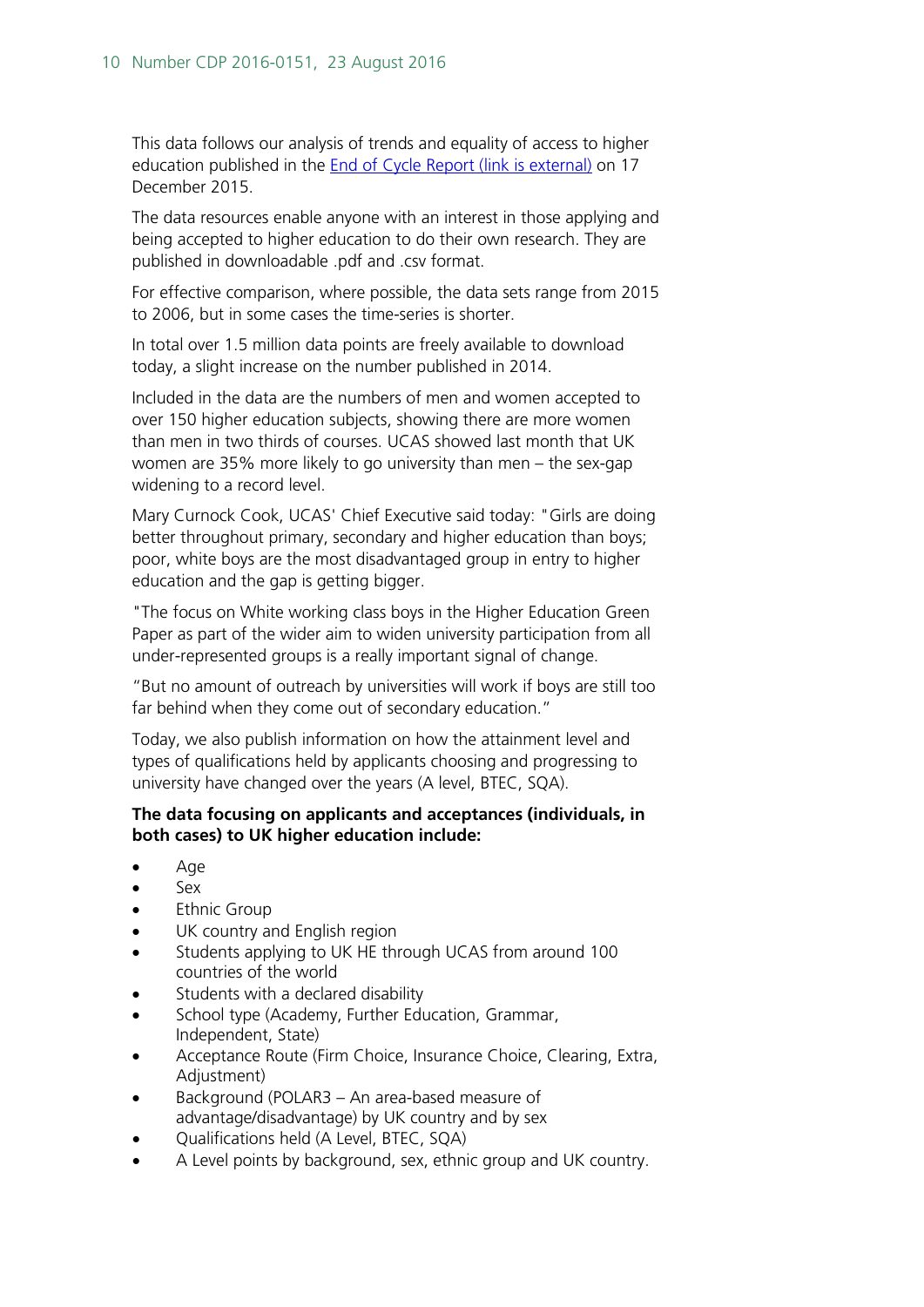This data follows our analysis of trends and equality of access to higher education published in the [End of Cycle Report \(link is external\)](http://links.mkt563.com/ctt?kn=6&ms=ODM5Njg4MAS2&r=MTIwMzM2MjA0NjIzS0&b=0&j=ODQwMzIzOTc2S0&mt=1&rt=0) on 17 December 2015.

The data resources enable anyone with an interest in those applying and being accepted to higher education to do their own research. They are published in downloadable .pdf and .csv format.

For effective comparison, where possible, the data sets range from 2015 to 2006, but in some cases the time-series is shorter.

In total over 1.5 million data points are freely available to download today, a slight increase on the number published in 2014.

Included in the data are the numbers of men and women accepted to over 150 higher education subjects, showing there are more women than men in two thirds of courses. UCAS showed last month that UK women are 35% more likely to go university than men – the sex-gap widening to a record level.

Mary Curnock Cook, UCAS' Chief Executive said today: "Girls are doing better throughout primary, secondary and higher education than boys; poor, white boys are the most disadvantaged group in entry to higher education and the gap is getting bigger.

"The focus on White working class boys in the Higher Education Green Paper as part of the wider aim to widen university participation from all under-represented groups is a really important signal of change.

"But no amount of outreach by universities will work if boys are still too far behind when they come out of secondary education."

Today, we also publish information on how the attainment level and types of qualifications held by applicants choosing and progressing to university have changed over the years (A level, BTEC, SQA).

#### **The data focusing on applicants and acceptances (individuals, in both cases) to UK higher education include:**

- Age
- Sex
- **Ethnic Group**
- UK country and English region
- Students applying to UK HE through UCAS from around 100 countries of the world
- Students with a declared disability
- School type (Academy, Further Education, Grammar, Independent, State)
- Acceptance Route (Firm Choice, Insurance Choice, Clearing, Extra, Adjustment)
- Background (POLAR3 An area-based measure of advantage/disadvantage) by UK country and by sex
- Qualifications held (A Level, BTEC, SQA)
- A Level points by background, sex, ethnic group and UK country.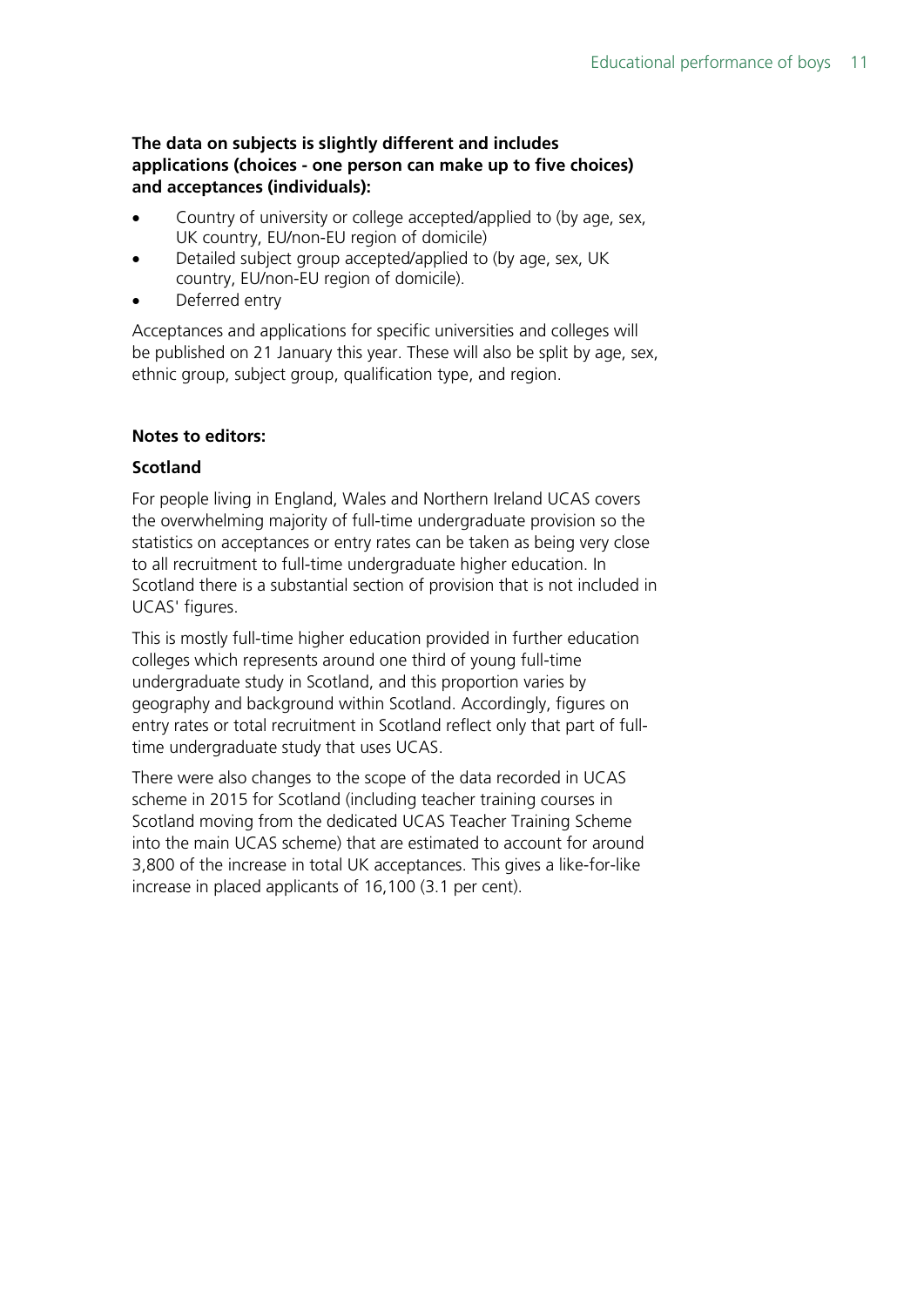#### **The data on subjects is slightly different and includes applications (choices - one person can make up to five choices) and acceptances (individuals):**

- Country of university or college accepted/applied to (by age, sex, UK country, EU/non-EU region of domicile)
- Detailed subject group accepted/applied to (by age, sex, UK country, EU/non-EU region of domicile).
- Deferred entry

Acceptances and applications for specific universities and colleges will be published on 21 January this year. These will also be split by age, sex, ethnic group, subject group, qualification type, and region.

#### **Notes to editors:**

#### **Scotland**

For people living in England, Wales and Northern Ireland UCAS covers the overwhelming majority of full-time undergraduate provision so the statistics on acceptances or entry rates can be taken as being very close to all recruitment to full-time undergraduate higher education. In Scotland there is a substantial section of provision that is not included in UCAS' figures.

This is mostly full-time higher education provided in further education colleges which represents around one third of young full-time undergraduate study in Scotland, and this proportion varies by geography and background within Scotland. Accordingly, figures on entry rates or total recruitment in Scotland reflect only that part of fulltime undergraduate study that uses UCAS.

There were also changes to the scope of the data recorded in UCAS scheme in 2015 for Scotland (including teacher training courses in Scotland moving from the dedicated UCAS Teacher Training Scheme into the main UCAS scheme) that are estimated to account for around 3,800 of the increase in total UK acceptances. This gives a like-for-like increase in placed applicants of 16,100 (3.1 per cent).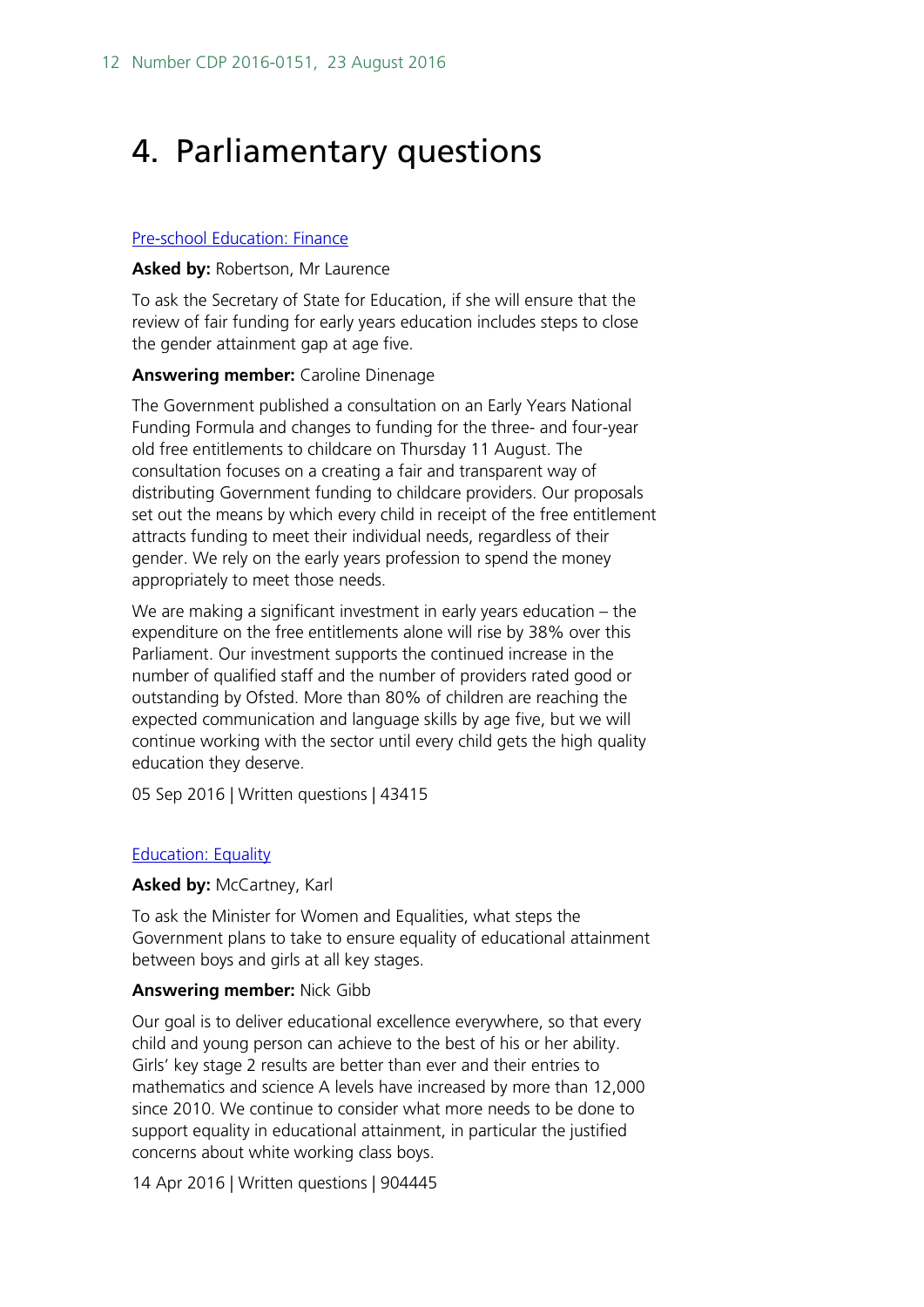# <span id="page-11-0"></span>4. Parliamentary questions

#### [Pre-school Education: Finance](http://www.parliament.uk/written-questions-answers-statements/written-question/commons/2016-07-19/43415)

#### **Asked by:** Robertson, Mr Laurence

To ask the Secretary of State for Education, if she will ensure that the review of fair funding for early years education includes steps to close the gender attainment gap at age five.

#### **Answering member:** Caroline Dinenage

The Government published a consultation on an Early Years National Funding Formula and changes to funding for the three- and four-year old free entitlements to childcare on Thursday 11 August. The consultation focuses on a creating a fair and transparent way of distributing Government funding to childcare providers. Our proposals set out the means by which every child in receipt of the free entitlement attracts funding to meet their individual needs, regardless of their gender. We rely on the early years profession to spend the money appropriately to meet those needs.

We are making a significant investment in early years education – the expenditure on the free entitlements alone will rise by 38% over this Parliament. Our investment supports the continued increase in the number of qualified staff and the number of providers rated good or outstanding by Ofsted. More than 80% of children are reaching the expected communication and language skills by age five, but we will continue working with the sector until every child gets the high quality education they deserve.

05 Sep 2016 | Written questions | 43415

#### **[Education: Equality](http://www.parliament.uk/written-questions-answers-statements/written-question/commons/2016-04-11/904445)**

#### **Asked by:** McCartney, Karl

To ask the Minister for Women and Equalities, what steps the Government plans to take to ensure equality of educational attainment between boys and girls at all key stages.

#### **Answering member:** Nick Gibb

Our goal is to deliver educational excellence everywhere, so that every child and young person can achieve to the best of his or her ability. Girls' key stage 2 results are better than ever and their entries to mathematics and science A levels have increased by more than 12,000 since 2010. We continue to consider what more needs to be done to support equality in educational attainment, in particular the justified concerns about white working class boys.

14 Apr 2016 | Written questions | 904445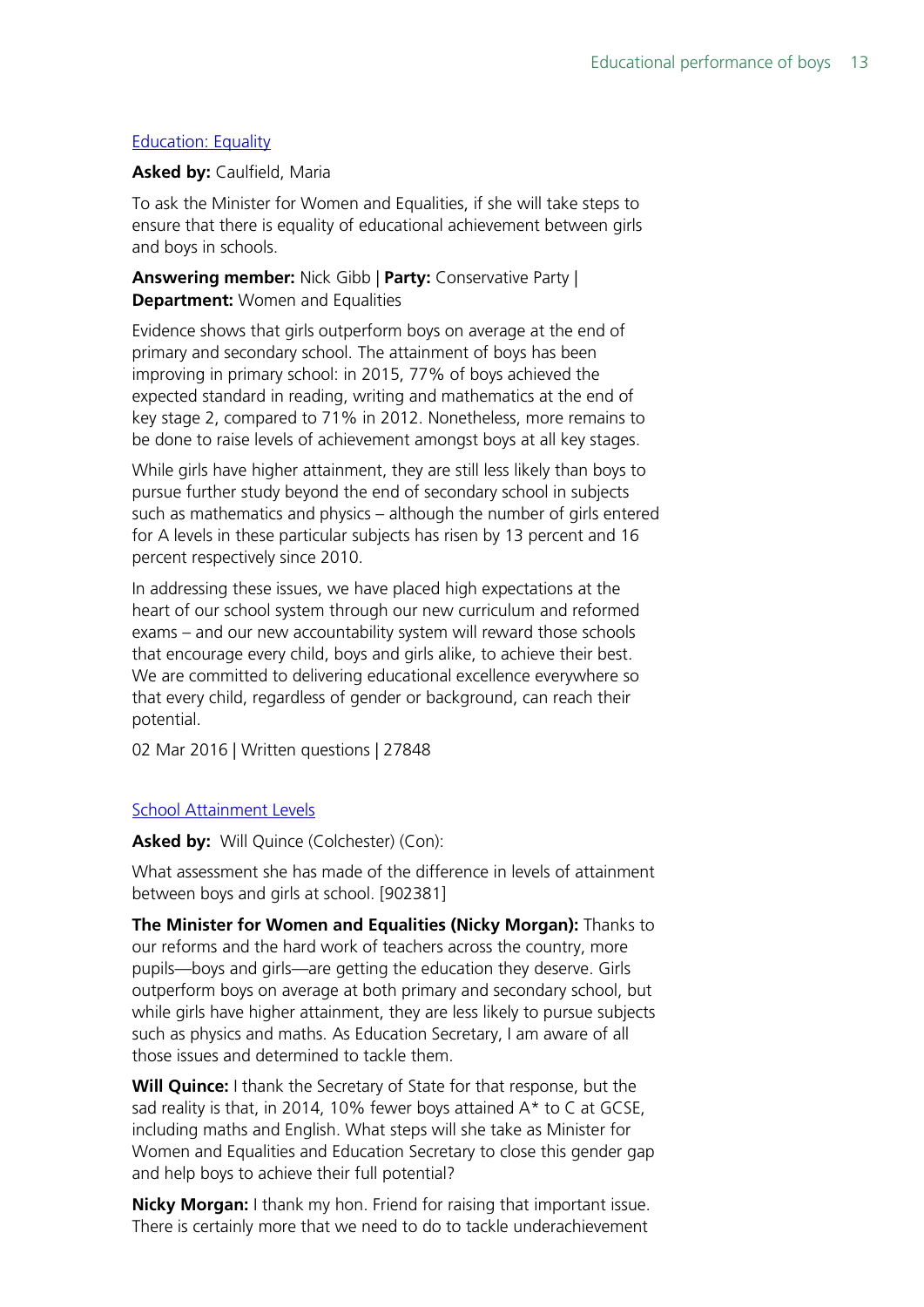#### **[Education: Equality](http://www.parliament.uk/written-questions-answers-statements/written-question/commons/2016-02-23/27848)**

#### **Asked by:** Caulfield, Maria

To ask the Minister for Women and Equalities, if she will take steps to ensure that there is equality of educational achievement between girls and boys in schools.

**Answering member:** Nick Gibb | **Party:** Conservative Party | **Department:** Women and Equalities

Evidence shows that girls outperform boys on average at the end of primary and secondary school. The attainment of boys has been improving in primary school: in 2015, 77% of boys achieved the expected standard in reading, writing and mathematics at the end of key stage 2, compared to 71% in 2012. Nonetheless, more remains to be done to raise levels of achievement amongst boys at all key stages.

While girls have higher attainment, they are still less likely than boys to pursue further study beyond the end of secondary school in subjects such as mathematics and physics – although the number of girls entered for A levels in these particular subjects has risen by 13 percent and 16 percent respectively since 2010.

In addressing these issues, we have placed high expectations at the heart of our school system through our new curriculum and reformed exams – and our new accountability system will reward those schools that encourage every child, boys and girls alike, to achieve their best. We are committed to delivering educational excellence everywhere so that every child, regardless of gender or background, can reach their potential.

02 Mar 2016 | Written questions | 27848

#### [School Attainment Levels](http://www.publications.parliament.uk/pa/cm201516/cmhansrd/cm151126/debtext/151126-0001.htm#15112625000137)

Asked by: Will Quince (Colchester) (Con):

What assessment she has made of the difference in levels of attainment between boys and girls at school. [902381]

**The Minister for Women and Equalities (Nicky Morgan):** Thanks to our reforms and the hard work of teachers across the country, more pupils—boys and girls—are getting the education they deserve. Girls outperform boys on average at both primary and secondary school, but while girls have higher attainment, they are less likely to pursue subjects such as physics and maths. As Education Secretary, I am aware of all those issues and determined to tackle them.

**Will Quince:** I thank the Secretary of State for that response, but the sad reality is that, in 2014, 10% fewer boys attained A\* to C at GCSE, including maths and English. What steps will she take as Minister for Women and Equalities and Education Secretary to close this gender gap and help boys to achieve their full potential?

**Nicky Morgan:** I thank my hon. Friend for raising that important issue. There is certainly more that we need to do to tackle underachievement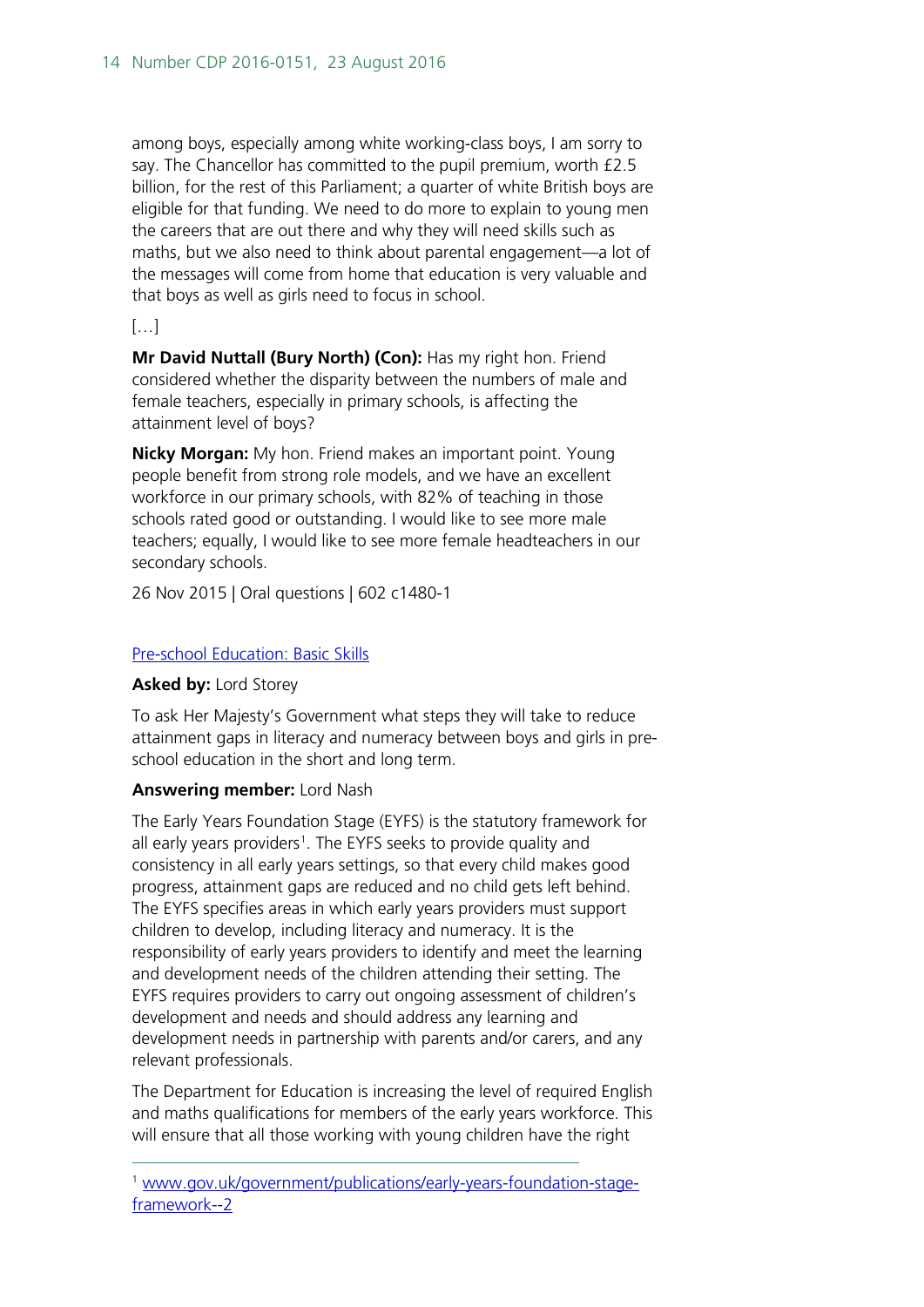among boys, especially among white working-class boys, I am sorry to say. The Chancellor has committed to the pupil premium, worth £2.5 billion, for the rest of this Parliament; a quarter of white British boys are eligible for that funding. We need to do more to explain to young men the careers that are out there and why they will need skills such as maths, but we also need to think about parental engagement—a lot of the messages will come from home that education is very valuable and that boys as well as girls need to focus in school.

#### […]

**Mr David Nuttall (Bury North) (Con):** Has my right hon. Friend considered whether the disparity between the numbers of male and female teachers, especially in primary schools, is affecting the attainment level of boys?

**Nicky Morgan:** My hon. Friend makes an important point. Young people benefit from strong role models, and we have an excellent workforce in our primary schools, with 82% of teaching in those schools rated good or outstanding. I would like to see more male teachers; equally, I would like to see more female headteachers in our secondary schools.

26 Nov 2015 | Oral questions | 602 c1480-1

#### [Pre-school Education: Basic Skills](http://www.parliament.uk/written-questions-answers-statements/written-question/lords/2014-10-22/HL2291)

#### **Asked by:** Lord Storey

To ask Her Majesty's Government what steps they will take to reduce attainment gaps in literacy and numeracy between boys and girls in preschool education in the short and long term.

#### **Answering member:** Lord Nash

The Early Years Foundation Stage (EYFS) is the statutory framework for all early years providers<sup>[1](#page-13-0)</sup>. The EYFS seeks to provide quality and consistency in all early years settings, so that every child makes good progress, attainment gaps are reduced and no child gets left behind. The EYFS specifies areas in which early years providers must support children to develop, including literacy and numeracy. It is the responsibility of early years providers to identify and meet the learning and development needs of the children attending their setting. The EYFS requires providers to carry out ongoing assessment of children's development and needs and should address any learning and development needs in partnership with parents and/or carers, and any relevant professionals.

The Department for Education is increasing the level of required English and maths qualifications for members of the early years workforce. This will ensure that all those working with young children have the right

<span id="page-13-0"></span> <sup>1</sup> [www.gov.uk/government/publications/early-years-foundation-stage](http://www.gov.uk/government/publications/early-years-foundation-stage-framework--2)[framework--2](http://www.gov.uk/government/publications/early-years-foundation-stage-framework--2)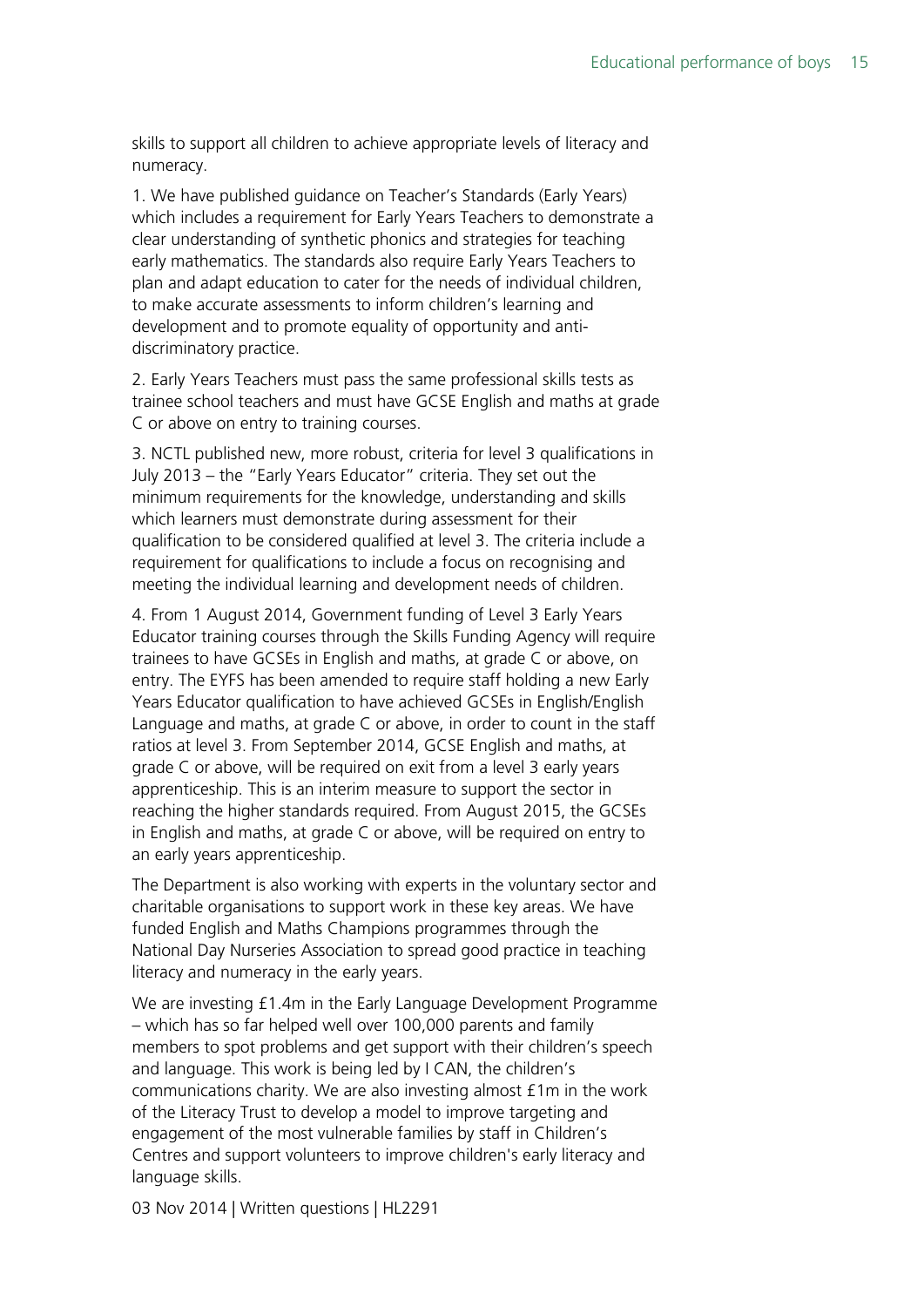skills to support all children to achieve appropriate levels of literacy and numeracy.

1. We have published guidance on Teacher's Standards (Early Years) which includes a requirement for Early Years Teachers to demonstrate a clear understanding of synthetic phonics and strategies for teaching early mathematics. The standards also require Early Years Teachers to plan and adapt education to cater for the needs of individual children, to make accurate assessments to inform children's learning and development and to promote equality of opportunity and antidiscriminatory practice.

2. Early Years Teachers must pass the same professional skills tests as trainee school teachers and must have GCSE English and maths at grade C or above on entry to training courses.

3. NCTL published new, more robust, criteria for level 3 qualifications in July 2013 – the "Early Years Educator" criteria. They set out the minimum requirements for the knowledge, understanding and skills which learners must demonstrate during assessment for their qualification to be considered qualified at level 3. The criteria include a requirement for qualifications to include a focus on recognising and meeting the individual learning and development needs of children.

4. From 1 August 2014, Government funding of Level 3 Early Years Educator training courses through the Skills Funding Agency will require trainees to have GCSEs in English and maths, at grade C or above, on entry. The EYFS has been amended to require staff holding a new Early Years Educator qualification to have achieved GCSEs in English/English Language and maths, at grade C or above, in order to count in the staff ratios at level 3. From September 2014, GCSE English and maths, at grade C or above, will be required on exit from a level 3 early years apprenticeship. This is an interim measure to support the sector in reaching the higher standards required. From August 2015, the GCSEs in English and maths, at grade C or above, will be required on entry to an early years apprenticeship.

The Department is also working with experts in the voluntary sector and charitable organisations to support work in these key areas. We have funded English and Maths Champions programmes through the National Day Nurseries Association to spread good practice in teaching literacy and numeracy in the early years.

We are investing £1.4m in the Early Language Development Programme – which has so far helped well over 100,000 parents and family members to spot problems and get support with their children's speech and language. This work is being led by I CAN, the children's communications charity. We are also investing almost £1m in the work of the Literacy Trust to develop a model to improve targeting and engagement of the most vulnerable families by staff in Children's Centres and support volunteers to improve children's early literacy and language skills.

03 Nov 2014 | Written questions | HL2291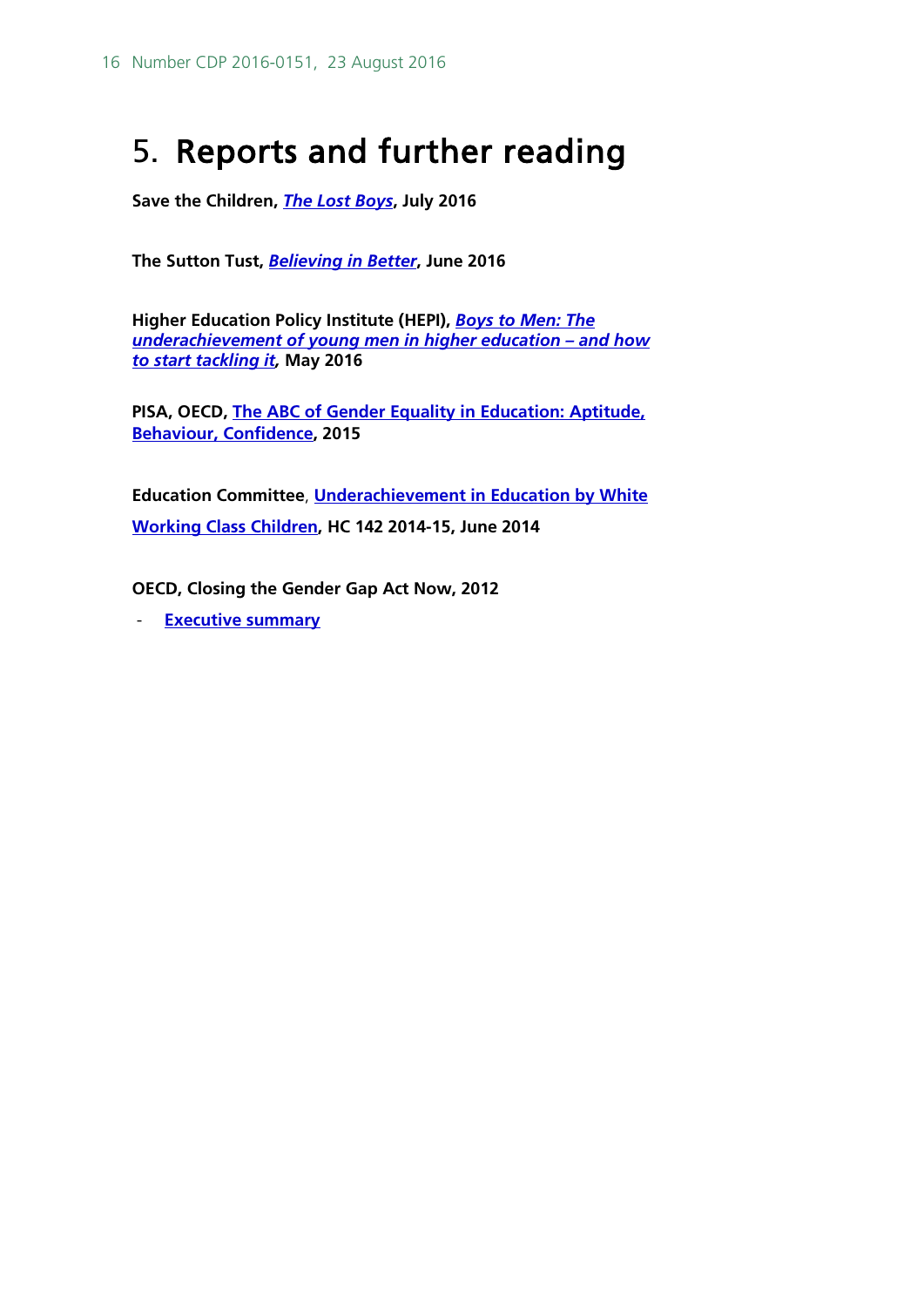# <span id="page-15-0"></span>5. Reports and further reading

**Save the Children,** *[The Lost Boys](http://www.savethechildren.org.uk/resources/online-library/lost-boys)***, July 2016**

**The Sutton Tust,** *[Believing in Better](http://www.suttontrust.com/researcharchive/believing-in-better/)***, June 2016**

**Higher Education Policy Institute (HEPI),** *[Boys to Men: The](http://www.hepi.ac.uk/2016/05/12/3317/)  [underachievement of young men in higher education –](http://www.hepi.ac.uk/2016/05/12/3317/) and how [to start tackling it,](http://www.hepi.ac.uk/2016/05/12/3317/)* **May 2016**

**PISA, OECD, [The ABC of Gender Equality in Education: Aptitude,](https://www.oecd.org/pisa/keyfindings/pisa-2012-results-gender-eng.pdf)  [Behaviour, Confidence,](https://www.oecd.org/pisa/keyfindings/pisa-2012-results-gender-eng.pdf) 2015**

**Education Committee**, **[Underachievement in Education by White](http://www.publications.parliament.uk/pa/cm201415/cmselect/cmeduc/142/142.pdf) [Working Class Children,](http://www.publications.parliament.uk/pa/cm201415/cmselect/cmeduc/142/142.pdf) HC 142 2014-15, June 2014**

**OECD, Closing the Gender Gap Act Now, 2012**

- **[Executive summary](https://www.oecd.org/gender/Executive%20Summary.pdf)**